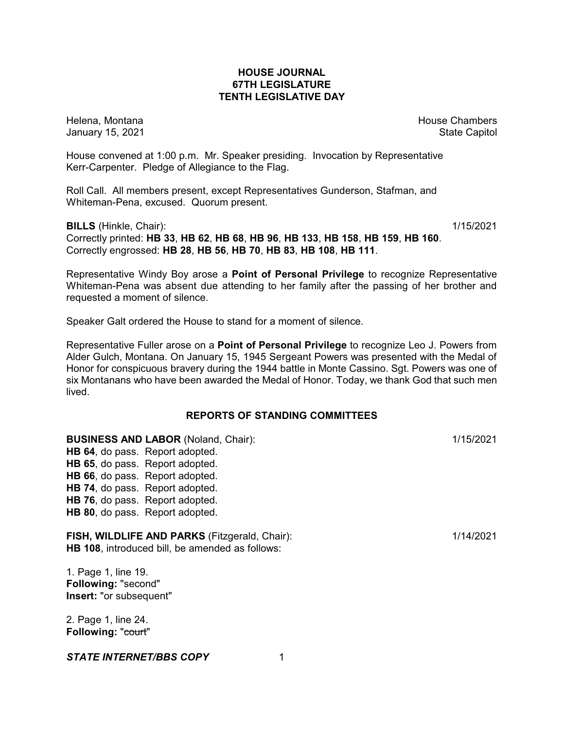## **HOUSE JOURNAL 67TH LEGISLATURE TENTH LEGISLATIVE DAY**

Helena, Montana House Chambers Chambers Chambers and House Chambers Chambers Chambers Chambers Chambers Chambers Chambers Chambers Chambers Chambers Chambers Chambers Chambers Chambers Chambers Chambers Chambers Chambers C January 15, 2021 **State Capitol** 

House convened at 1:00 p.m. Mr. Speaker presiding. Invocation by Representative Kerr-Carpenter. Pledge of Allegiance to the Flag.

Roll Call. All members present, except Representatives Gunderson, Stafman, and Whiteman-Pena, excused. Quorum present.

**BILLS** (Hinkle, Chair): 1/15/2021 Correctly printed: **HB 33**, **HB 62**, **HB 68**, **HB 96**, **HB 133**, **HB 158**, **HB 159**, **HB 160**. Correctly engrossed: **HB 28**, **HB 56**, **HB 70**, **HB 83**, **HB 108**, **HB 111**.

Representative Windy Boy arose a **Point of Personal Privilege** to recognize Representative Whiteman-Pena was absent due attending to her family after the passing of her brother and requested a moment of silence.

Speaker Galt ordered the House to stand for a moment of silence.

Representative Fuller arose on a **Point of Personal Privilege** to recognize Leo J. Powers from Alder Gulch, Montana. On January 15, 1945 Sergeant Powers was presented with the Medal of Honor for conspicuous bravery during the 1944 battle in Monte Cassino. Sgt. Powers was one of six Montanans who have been awarded the Medal of Honor. Today, we thank God that such men lived.

# **REPORTS OF STANDING COMMITTEES**

**BUSINESS AND LABOR** (Noland, Chair): 1/15/2021 **HB 64**, do pass. Report adopted. **HB 65**, do pass. Report adopted. **HB 66**, do pass. Report adopted. **HB 74**, do pass. Report adopted. **HB 76**, do pass. Report adopted. **HB 80**, do pass. Report adopted.

**FISH, WILDLIFE AND PARKS** (Fitzgerald, Chair): 1/14/2021 **HB 108**, introduced bill, be amended as follows:

1. Page 1, line 19. **Following:** "second" **Insert:** "or subsequent"

2. Page 1, line 24. **Following: "court"**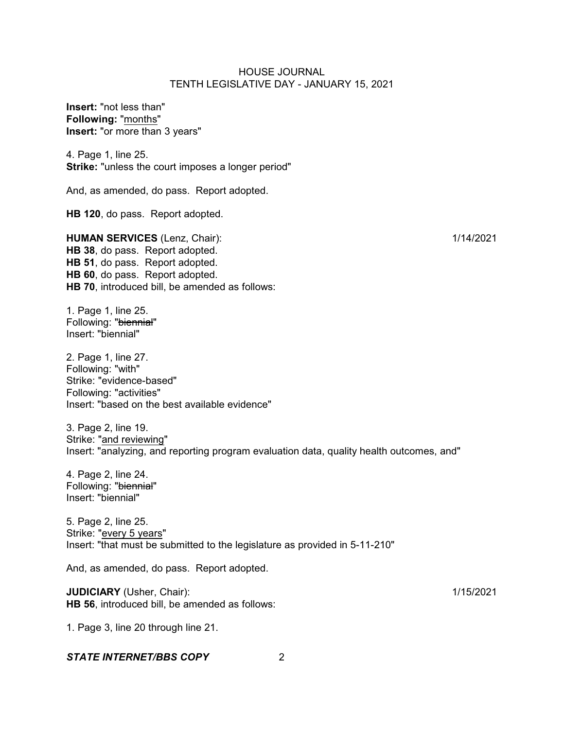**Insert:** "not less than" **Following:** "months" **Insert:** "or more than 3 years"

4. Page 1, line 25. **Strike:** "unless the court imposes a longer period"

And, as amended, do pass. Report adopted.

**HB 120**, do pass. Report adopted.

**HUMAN SERVICES** (Lenz, Chair): 1/14/2021 **HB 38**, do pass. Report adopted. **HB 51**, do pass. Report adopted. **HB 60**, do pass. Report adopted. **HB 70**, introduced bill, be amended as follows:

1. Page 1, line 25. Following: "biennial" Insert: "biennial"

2. Page 1, line 27. Following: "with" Strike: "evidence-based" Following: "activities" Insert: "based on the best available evidence"

3. Page 2, line 19. Strike: "and reviewing" Insert: "analyzing, and reporting program evaluation data, quality health outcomes, and"

4. Page 2, line 24. Following: "biennial" Insert: "biennial"

5. Page 2, line 25. Strike: "every 5 years" Insert: "that must be submitted to the legislature as provided in 5-11-210"

And, as amended, do pass. Report adopted.

**JUDICIARY** (Usher, Chair): 1/15/2021 **HB 56**, introduced bill, be amended as follows:

1. Page 3, line 20 through line 21.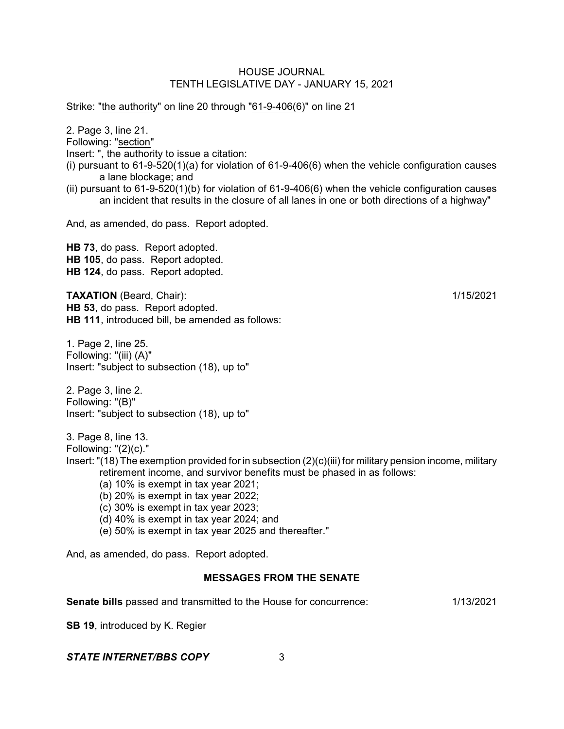Strike: "the authority" on line 20 through "61-9-406(6)" on line 21

2. Page 3, line 21. Following: "section" Insert: ", the authority to issue a citation: (i) pursuant to 61-9-520(1)(a) for violation of 61-9-406(6) when the vehicle configuration causes a lane blockage; and

(ii) pursuant to 61-9-520(1)(b) for violation of 61-9-406(6) when the vehicle configuration causes an incident that results in the closure of all lanes in one or both directions of a highway"

And, as amended, do pass. Report adopted.

**HB 73**, do pass. Report adopted. **HB 105**, do pass. Report adopted. **HB 124**, do pass. Report adopted.

**TAXATION** (Beard, Chair): 1/15/2021 **HB 53**, do pass. Report adopted. **HB 111**, introduced bill, be amended as follows:

1. Page 2, line 25. Following: "(iii) (A)" Insert: "subject to subsection (18), up to"

2. Page 3, line 2. Following: "(B)" Insert: "subject to subsection (18), up to"

3. Page 8, line 13.

Following: "(2)(c)."

- Insert: "(18) The exemption provided for in subsection (2)(c)(iii) for military pension income, military retirement income, and survivor benefits must be phased in as follows:
	- (a) 10% is exempt in tax year 2021;
	- (b) 20% is exempt in tax year 2022;
	- (c) 30% is exempt in tax year 2023;
	- (d) 40% is exempt in tax year 2024; and
	- (e) 50% is exempt in tax year 2025 and thereafter."

And, as amended, do pass. Report adopted.

## **MESSAGES FROM THE SENATE**

**Senate bills** passed and transmitted to the House for concurrence: 1/13/2021

**SB 19**, introduced by K. Regier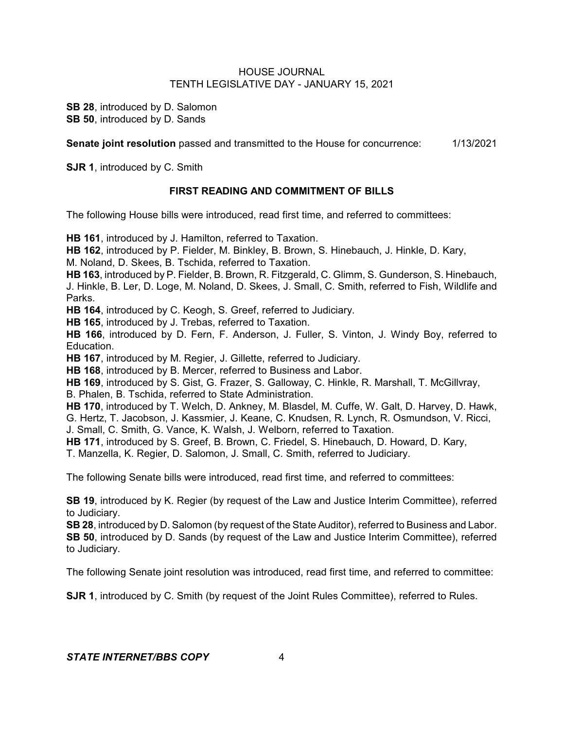**SB 28**, introduced by D. Salomon **SB 50**, introduced by D. Sands

**Senate joint resolution** passed and transmitted to the House for concurrence: 1/13/2021

**SJR 1**, introduced by C. Smith

## **FIRST READING AND COMMITMENT OF BILLS**

The following House bills were introduced, read first time, and referred to committees:

**HB 161**, introduced by J. Hamilton, referred to Taxation.

**HB 162**, introduced by P. Fielder, M. Binkley, B. Brown, S. Hinebauch, J. Hinkle, D. Kary,

M. Noland, D. Skees, B. Tschida, referred to Taxation.

**HB 163**, introduced by P. Fielder, B. Brown, R. Fitzgerald, C. Glimm, S. Gunderson, S. Hinebauch, J. Hinkle, B. Ler, D. Loge, M. Noland, D. Skees, J. Small, C. Smith, referred to Fish, Wildlife and Parks.

**HB 164**, introduced by C. Keogh, S. Greef, referred to Judiciary.

**HB 165**, introduced by J. Trebas, referred to Taxation.

**HB 166**, introduced by D. Fern, F. Anderson, J. Fuller, S. Vinton, J. Windy Boy, referred to Education.

**HB 167**, introduced by M. Regier, J. Gillette, referred to Judiciary.

**HB 168**, introduced by B. Mercer, referred to Business and Labor.

**HB 169**, introduced by S. Gist, G. Frazer, S. Galloway, C. Hinkle, R. Marshall, T. McGillvray, B. Phalen, B. Tschida, referred to State Administration.

**HB 170**, introduced by T. Welch, D. Ankney, M. Blasdel, M. Cuffe, W. Galt, D. Harvey, D. Hawk, G. Hertz, T. Jacobson, J. Kassmier, J. Keane, C. Knudsen, R. Lynch, R. Osmundson, V. Ricci, J. Small, C. Smith, G. Vance, K. Walsh, J. Welborn, referred to Taxation.

**HB 171**, introduced by S. Greef, B. Brown, C. Friedel, S. Hinebauch, D. Howard, D. Kary,

T. Manzella, K. Regier, D. Salomon, J. Small, C. Smith, referred to Judiciary.

The following Senate bills were introduced, read first time, and referred to committees:

**SB 19**, introduced by K. Regier (by request of the Law and Justice Interim Committee), referred to Judiciary.

**SB 28**, introduced by D. Salomon (by request of the State Auditor), referred to Business and Labor. **SB 50**, introduced by D. Sands (by request of the Law and Justice Interim Committee), referred to Judiciary.

The following Senate joint resolution was introduced, read first time, and referred to committee:

**SJR 1**, introduced by C. Smith (by request of the Joint Rules Committee), referred to Rules.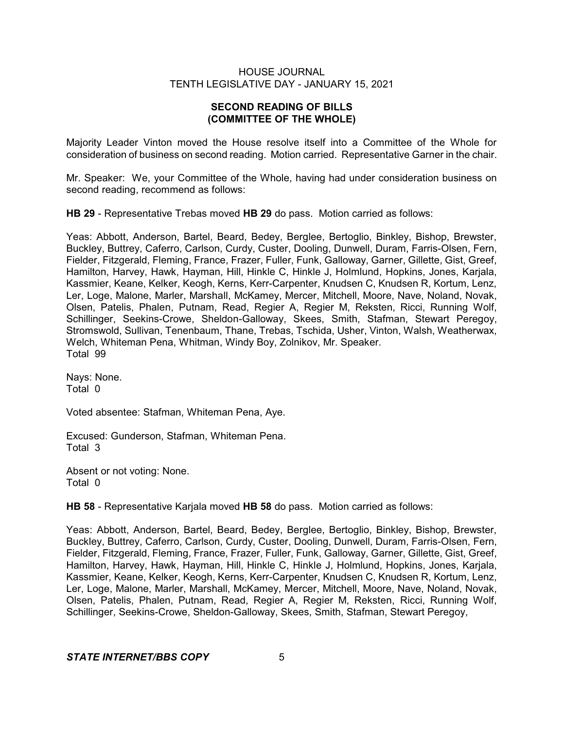# **SECOND READING OF BILLS (COMMITTEE OF THE WHOLE)**

Majority Leader Vinton moved the House resolve itself into a Committee of the Whole for consideration of business on second reading. Motion carried. Representative Garner in the chair.

Mr. Speaker: We, your Committee of the Whole, having had under consideration business on second reading, recommend as follows:

**HB 29** - Representative Trebas moved **HB 29** do pass. Motion carried as follows:

Yeas: Abbott, Anderson, Bartel, Beard, Bedey, Berglee, Bertoglio, Binkley, Bishop, Brewster, Buckley, Buttrey, Caferro, Carlson, Curdy, Custer, Dooling, Dunwell, Duram, Farris-Olsen, Fern, Fielder, Fitzgerald, Fleming, France, Frazer, Fuller, Funk, Galloway, Garner, Gillette, Gist, Greef, Hamilton, Harvey, Hawk, Hayman, Hill, Hinkle C, Hinkle J, Holmlund, Hopkins, Jones, Karjala, Kassmier, Keane, Kelker, Keogh, Kerns, Kerr-Carpenter, Knudsen C, Knudsen R, Kortum, Lenz, Ler, Loge, Malone, Marler, Marshall, McKamey, Mercer, Mitchell, Moore, Nave, Noland, Novak, Olsen, Patelis, Phalen, Putnam, Read, Regier A, Regier M, Reksten, Ricci, Running Wolf, Schillinger, Seekins-Crowe, Sheldon-Galloway, Skees, Smith, Stafman, Stewart Peregoy, Stromswold, Sullivan, Tenenbaum, Thane, Trebas, Tschida, Usher, Vinton, Walsh, Weatherwax, Welch, Whiteman Pena, Whitman, Windy Boy, Zolnikov, Mr. Speaker. Total 99

Nays: None. Total 0

Voted absentee: Stafman, Whiteman Pena, Aye.

Excused: Gunderson, Stafman, Whiteman Pena. Total 3

Absent or not voting: None. Total 0

**HB 58** - Representative Karjala moved **HB 58** do pass. Motion carried as follows:

Yeas: Abbott, Anderson, Bartel, Beard, Bedey, Berglee, Bertoglio, Binkley, Bishop, Brewster, Buckley, Buttrey, Caferro, Carlson, Curdy, Custer, Dooling, Dunwell, Duram, Farris-Olsen, Fern, Fielder, Fitzgerald, Fleming, France, Frazer, Fuller, Funk, Galloway, Garner, Gillette, Gist, Greef, Hamilton, Harvey, Hawk, Hayman, Hill, Hinkle C, Hinkle J, Holmlund, Hopkins, Jones, Karjala, Kassmier, Keane, Kelker, Keogh, Kerns, Kerr-Carpenter, Knudsen C, Knudsen R, Kortum, Lenz, Ler, Loge, Malone, Marler, Marshall, McKamey, Mercer, Mitchell, Moore, Nave, Noland, Novak, Olsen, Patelis, Phalen, Putnam, Read, Regier A, Regier M, Reksten, Ricci, Running Wolf, Schillinger, Seekins-Crowe, Sheldon-Galloway, Skees, Smith, Stafman, Stewart Peregoy,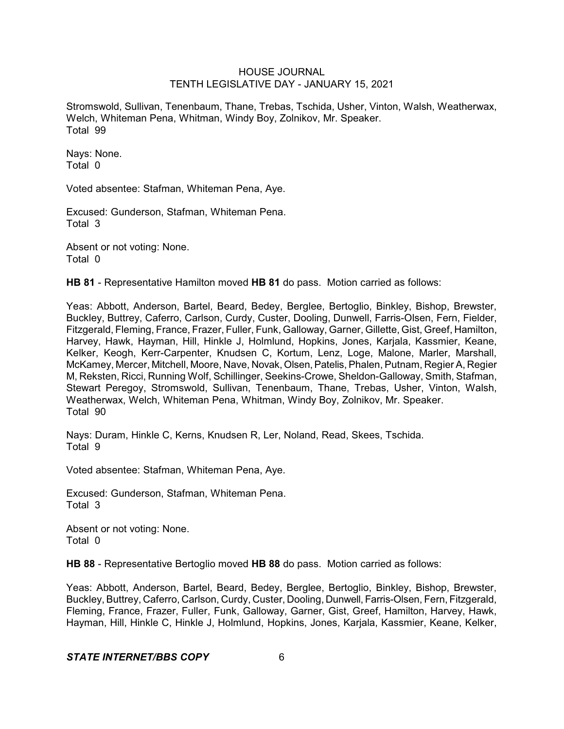Stromswold, Sullivan, Tenenbaum, Thane, Trebas, Tschida, Usher, Vinton, Walsh, Weatherwax, Welch, Whiteman Pena, Whitman, Windy Boy, Zolnikov, Mr. Speaker. Total 99

Nays: None. Total 0

Voted absentee: Stafman, Whiteman Pena, Aye.

Excused: Gunderson, Stafman, Whiteman Pena. Total 3

Absent or not voting: None. Total 0

**HB 81** - Representative Hamilton moved **HB 81** do pass. Motion carried as follows:

Yeas: Abbott, Anderson, Bartel, Beard, Bedey, Berglee, Bertoglio, Binkley, Bishop, Brewster, Buckley, Buttrey, Caferro, Carlson, Curdy, Custer, Dooling, Dunwell, Farris-Olsen, Fern, Fielder, Fitzgerald, Fleming, France, Frazer, Fuller, Funk, Galloway, Garner, Gillette, Gist, Greef, Hamilton, Harvey, Hawk, Hayman, Hill, Hinkle J, Holmlund, Hopkins, Jones, Karjala, Kassmier, Keane, Kelker, Keogh, Kerr-Carpenter, Knudsen C, Kortum, Lenz, Loge, Malone, Marler, Marshall, McKamey, Mercer, Mitchell, Moore, Nave, Novak, Olsen, Patelis, Phalen, Putnam, Regier A, Regier M, Reksten, Ricci, Running Wolf, Schillinger, Seekins-Crowe, Sheldon-Galloway, Smith, Stafman, Stewart Peregoy, Stromswold, Sullivan, Tenenbaum, Thane, Trebas, Usher, Vinton, Walsh, Weatherwax, Welch, Whiteman Pena, Whitman, Windy Boy, Zolnikov, Mr. Speaker. Total 90

Nays: Duram, Hinkle C, Kerns, Knudsen R, Ler, Noland, Read, Skees, Tschida. Total 9

Voted absentee: Stafman, Whiteman Pena, Aye.

Excused: Gunderson, Stafman, Whiteman Pena. Total 3

Absent or not voting: None. Total 0

**HB 88** - Representative Bertoglio moved **HB 88** do pass. Motion carried as follows:

Yeas: Abbott, Anderson, Bartel, Beard, Bedey, Berglee, Bertoglio, Binkley, Bishop, Brewster, Buckley, Buttrey, Caferro, Carlson, Curdy, Custer, Dooling, Dunwell, Farris-Olsen, Fern, Fitzgerald, Fleming, France, Frazer, Fuller, Funk, Galloway, Garner, Gist, Greef, Hamilton, Harvey, Hawk, Hayman, Hill, Hinkle C, Hinkle J, Holmlund, Hopkins, Jones, Karjala, Kassmier, Keane, Kelker,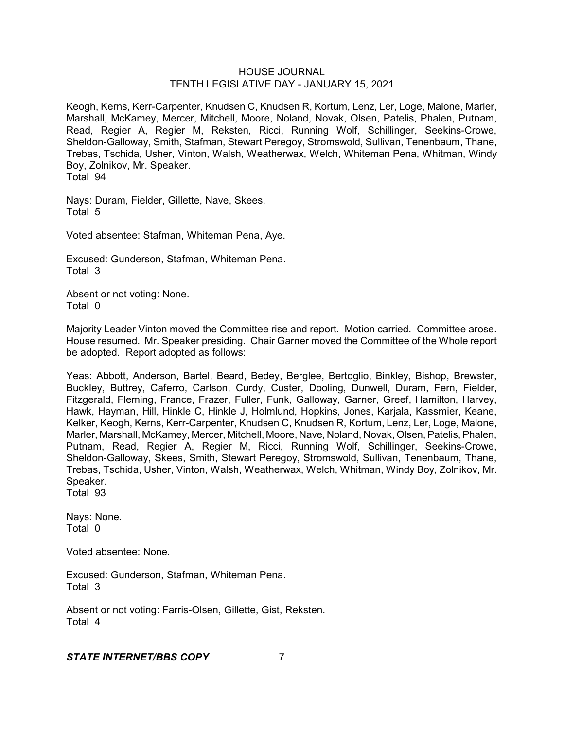Keogh, Kerns, Kerr-Carpenter, Knudsen C, Knudsen R, Kortum, Lenz, Ler, Loge, Malone, Marler, Marshall, McKamey, Mercer, Mitchell, Moore, Noland, Novak, Olsen, Patelis, Phalen, Putnam, Read, Regier A, Regier M, Reksten, Ricci, Running Wolf, Schillinger, Seekins-Crowe, Sheldon-Galloway, Smith, Stafman, Stewart Peregoy, Stromswold, Sullivan, Tenenbaum, Thane, Trebas, Tschida, Usher, Vinton, Walsh, Weatherwax, Welch, Whiteman Pena, Whitman, Windy Boy, Zolnikov, Mr. Speaker. Total 94

Nays: Duram, Fielder, Gillette, Nave, Skees. Total 5

Voted absentee: Stafman, Whiteman Pena, Aye.

Excused: Gunderson, Stafman, Whiteman Pena. Total 3

Absent or not voting: None. Total 0

Majority Leader Vinton moved the Committee rise and report. Motion carried. Committee arose. House resumed. Mr. Speaker presiding. Chair Garner moved the Committee of the Whole report be adopted. Report adopted as follows:

Yeas: Abbott, Anderson, Bartel, Beard, Bedey, Berglee, Bertoglio, Binkley, Bishop, Brewster, Buckley, Buttrey, Caferro, Carlson, Curdy, Custer, Dooling, Dunwell, Duram, Fern, Fielder, Fitzgerald, Fleming, France, Frazer, Fuller, Funk, Galloway, Garner, Greef, Hamilton, Harvey, Hawk, Hayman, Hill, Hinkle C, Hinkle J, Holmlund, Hopkins, Jones, Karjala, Kassmier, Keane, Kelker, Keogh, Kerns, Kerr-Carpenter, Knudsen C, Knudsen R, Kortum, Lenz, Ler, Loge, Malone, Marler, Marshall, McKamey, Mercer, Mitchell, Moore, Nave, Noland, Novak, Olsen, Patelis, Phalen, Putnam, Read, Regier A, Regier M, Ricci, Running Wolf, Schillinger, Seekins-Crowe, Sheldon-Galloway, Skees, Smith, Stewart Peregoy, Stromswold, Sullivan, Tenenbaum, Thane, Trebas, Tschida, Usher, Vinton, Walsh, Weatherwax, Welch, Whitman, Windy Boy, Zolnikov, Mr. Speaker.

Total 93

Nays: None. Total 0

Voted absentee: None.

Excused: Gunderson, Stafman, Whiteman Pena. Total 3

Absent or not voting: Farris-Olsen, Gillette, Gist, Reksten. Total 4